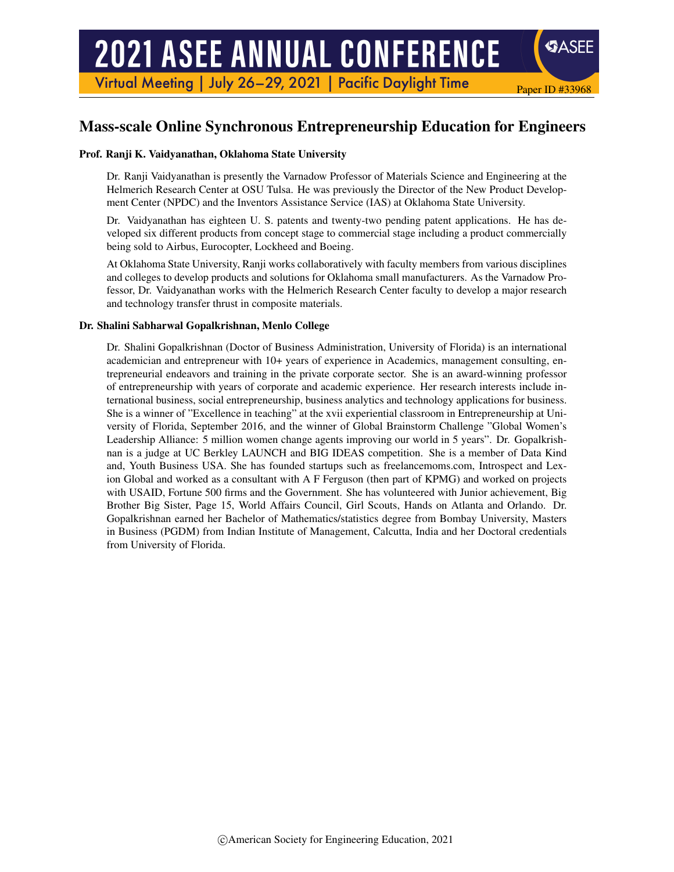# **2021 ASEE ANNUAL CONFERENCE**

Virtual Meeting | July 26-29, 2021 | Pacific Daylight Time

# Mass-scale Online Synchronous Entrepreneurship Education for Engineers

Paper ID #33968

**SASEE** 

#### Prof. Ranji K. Vaidyanathan, Oklahoma State University

Dr. Ranji Vaidyanathan is presently the Varnadow Professor of Materials Science and Engineering at the Helmerich Research Center at OSU Tulsa. He was previously the Director of the New Product Development Center (NPDC) and the Inventors Assistance Service (IAS) at Oklahoma State University.

Dr. Vaidyanathan has eighteen U. S. patents and twenty-two pending patent applications. He has developed six different products from concept stage to commercial stage including a product commercially being sold to Airbus, Eurocopter, Lockheed and Boeing.

At Oklahoma State University, Ranji works collaboratively with faculty members from various disciplines and colleges to develop products and solutions for Oklahoma small manufacturers. As the Varnadow Professor, Dr. Vaidyanathan works with the Helmerich Research Center faculty to develop a major research and technology transfer thrust in composite materials.

#### Dr. Shalini Sabharwal Gopalkrishnan, Menlo College

Dr. Shalini Gopalkrishnan (Doctor of Business Administration, University of Florida) is an international academician and entrepreneur with 10+ years of experience in Academics, management consulting, entrepreneurial endeavors and training in the private corporate sector. She is an award-winning professor of entrepreneurship with years of corporate and academic experience. Her research interests include international business, social entrepreneurship, business analytics and technology applications for business. She is a winner of "Excellence in teaching" at the xvii experiential classroom in Entrepreneurship at University of Florida, September 2016, and the winner of Global Brainstorm Challenge "Global Women's Leadership Alliance: 5 million women change agents improving our world in 5 years". Dr. Gopalkrishnan is a judge at UC Berkley LAUNCH and BIG IDEAS competition. She is a member of Data Kind and, Youth Business USA. She has founded startups such as freelancemoms.com, Introspect and Lexion Global and worked as a consultant with A F Ferguson (then part of KPMG) and worked on projects with USAID, Fortune 500 firms and the Government. She has volunteered with Junior achievement, Big Brother Big Sister, Page 15, World Affairs Council, Girl Scouts, Hands on Atlanta and Orlando. Dr. Gopalkrishnan earned her Bachelor of Mathematics/statistics degree from Bombay University, Masters in Business (PGDM) from Indian Institute of Management, Calcutta, India and her Doctoral credentials from University of Florida.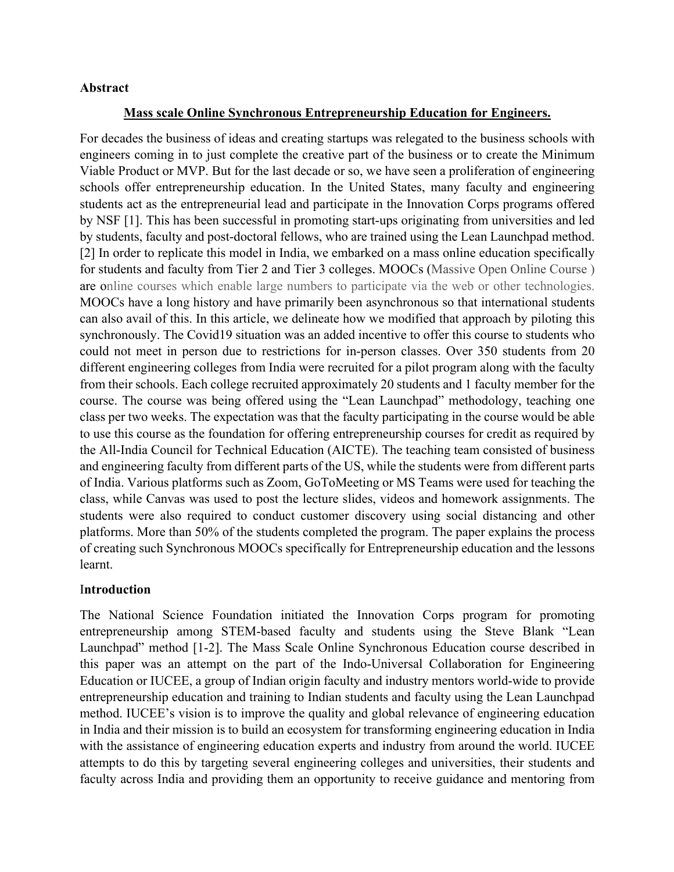#### **Abstract**

#### **Mass scale Online Synchronous Entrepreneurship Education for Engineers.**

For decades the business of ideas and creating startups was relegated to the business schools with engineers coming in to just complete the creative part of the business or to create the Minimum Viable Product or MVP. But for the last decade or so, we have seen a proliferation of engineering schools offer entrepreneurship education. In the United States, many faculty and engineering students act as the entrepreneurial lead and participate in the Innovation Corps programs offered by NSF [1]. This has been successful in promoting start-ups originating from universities and led by students, faculty and post-doctoral fellows, who are trained using the Lean Launchpad method. [2] In order to replicate this model in India, we embarked on a mass online education specifically for students and faculty from Tier 2 and Tier 3 colleges. MOOCs (Massive Open Online Course ) are online courses which enable large numbers to participate via the web or other technologies. MOOCs have a long history and have primarily been asynchronous so that international students can also avail of this. In this article, we delineate how we modified that approach by piloting this synchronously. The Covid19 situation was an added incentive to offer this course to students who could not meet in person due to restrictions for in-person classes. Over 350 students from 20 different engineering colleges from India were recruited for a pilot program along with the faculty from their schools. Each college recruited approximately 20 students and 1 faculty member for the course. The course was being offered using the "Lean Launchpad" methodology, teaching one class per two weeks. The expectation was that the faculty participating in the course would be able to use this course as the foundation for offering entrepreneurship courses for credit as required by the All-India Council for Technical Education (AICTE). The teaching team consisted of business and engineering faculty from different parts of the US, while the students were from different parts of India. Various platforms such as Zoom, GoToMeeting or MS Teams were used for teaching the class, while Canvas was used to post the lecture slides, videos and homework assignments. The students were also required to conduct customer discovery using social distancing and other platforms. More than 50% of the students completed the program. The paper explains the process of creating such Synchronous MOOCs specifically for Entrepreneurship education and the lessons learnt.

#### I**ntroduction**

The National Science Foundation initiated the Innovation Corps program for promoting entrepreneurship among STEM-based faculty and students using the Steve Blank "Lean Launchpad" method [1-2]. The Mass Scale Online Synchronous Education course described in this paper was an attempt on the part of the Indo-Universal Collaboration for Engineering Education or IUCEE, a group of Indian origin faculty and industry mentors world-wide to provide entrepreneurship education and training to Indian students and faculty using the Lean Launchpad method. IUCEE's vision is to improve the quality and global relevance of engineering education in India and their mission is to build an ecosystem for transforming engineering education in India with the assistance of engineering education experts and industry from around the world. IUCEE attempts to do this by targeting several engineering colleges and universities, their students and faculty across India and providing them an opportunity to receive guidance and mentoring from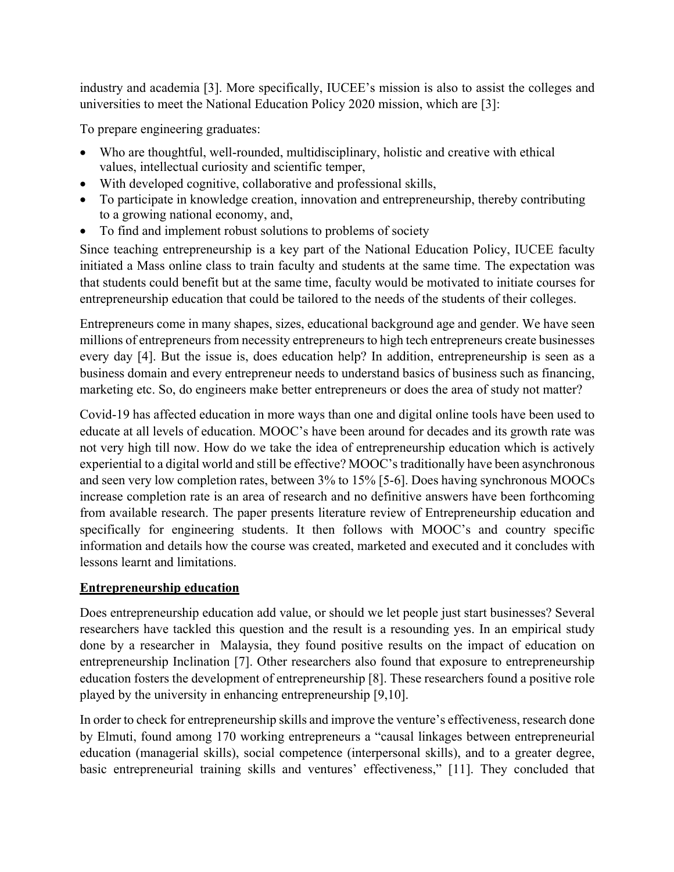industry and academia [3]. More specifically, IUCEE's mission is also to assist the colleges and universities to meet the National Education Policy 2020 mission, which are [3]:

To prepare engineering graduates:

- Who are thoughtful, well-rounded, multidisciplinary, holistic and creative with ethical values, intellectual curiosity and scientific temper,
- With developed cognitive, collaborative and professional skills,
- To participate in knowledge creation, innovation and entrepreneurship, thereby contributing to a growing national economy, and,
- To find and implement robust solutions to problems of society

Since teaching entrepreneurship is a key part of the National Education Policy, IUCEE faculty initiated a Mass online class to train faculty and students at the same time. The expectation was that students could benefit but at the same time, faculty would be motivated to initiate courses for entrepreneurship education that could be tailored to the needs of the students of their colleges.

Entrepreneurs come in many shapes, sizes, educational background age and gender. We have seen millions of entrepreneurs from necessity entrepreneurs to high tech entrepreneurs create businesses every day [4]. But the issue is, does education help? In addition, entrepreneurship is seen as a business domain and every entrepreneur needs to understand basics of business such as financing, marketing etc. So, do engineers make better entrepreneurs or does the area of study not matter?

Covid-19 has affected education in more ways than one and digital online tools have been used to educate at all levels of education. MOOC's have been around for decades and its growth rate was not very high till now. How do we take the idea of entrepreneurship education which is actively experiential to a digital world and still be effective? MOOC's traditionally have been asynchronous and seen very low completion rates, between 3% to 15% [5-6]. Does having synchronous MOOCs increase completion rate is an area of research and no definitive answers have been forthcoming from available research. The paper presents literature review of Entrepreneurship education and specifically for engineering students. It then follows with MOOC's and country specific information and details how the course was created, marketed and executed and it concludes with lessons learnt and limitations.

## **Entrepreneurship education**

Does entrepreneurship education add value, or should we let people just start businesses? Several researchers have tackled this question and the result is a resounding yes. In an empirical study done by a researcher in Malaysia, they found positive results on the impact of education on entrepreneurship Inclination [7]. Other researchers also found that exposure to entrepreneurship education fosters the development of entrepreneurship [8]. These researchers found a positive role played by the university in enhancing entrepreneurship [9,10].

In order to check for entrepreneurship skills and improve the venture's effectiveness, research done by Elmuti, found among 170 working entrepreneurs a "causal linkages between entrepreneurial education (managerial skills), social competence (interpersonal skills), and to a greater degree, basic entrepreneurial training skills and ventures' effectiveness," [11]. They concluded that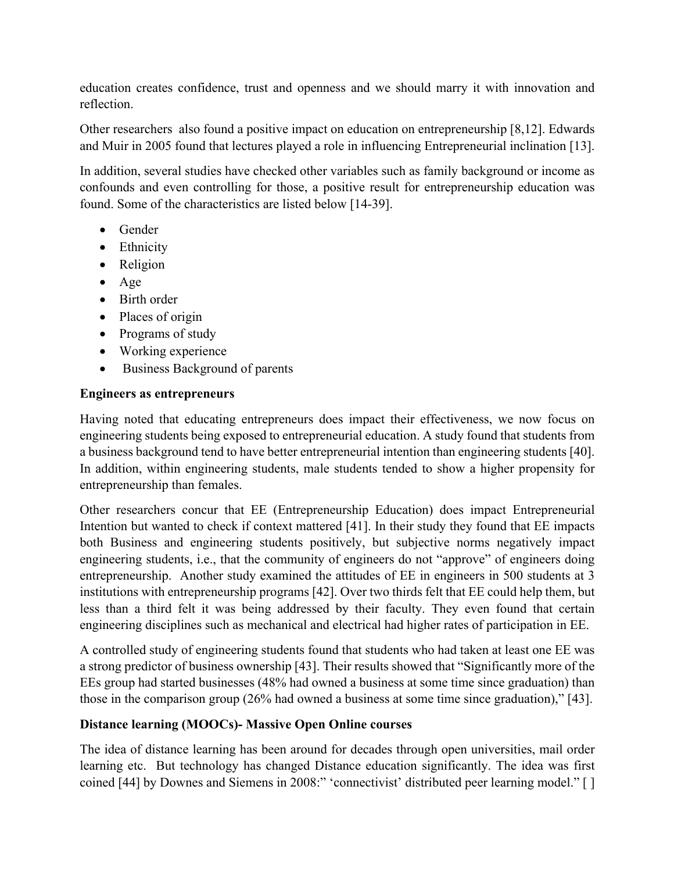education creates confidence, trust and openness and we should marry it with innovation and reflection.

Other researchers also found a positive impact on education on entrepreneurship [8,12]. Edwards and Muir in 2005 found that lectures played a role in influencing Entrepreneurial inclination [13].

In addition, several studies have checked other variables such as family background or income as confounds and even controlling for those, a positive result for entrepreneurship education was found. Some of the characteristics are listed below [14-39].

- Gender
- Ethnicity
- Religion
- Age
- Birth order
- Places of origin
- Programs of study
- Working experience
- Business Background of parents

#### **Engineers as entrepreneurs**

Having noted that educating entrepreneurs does impact their effectiveness, we now focus on engineering students being exposed to entrepreneurial education. A study found that students from a business background tend to have better entrepreneurial intention than engineering students [40]. In addition, within engineering students, male students tended to show a higher propensity for entrepreneurship than females.

Other researchers concur that EE (Entrepreneurship Education) does impact Entrepreneurial Intention but wanted to check if context mattered [41]. In their study they found that EE impacts both Business and engineering students positively, but subjective norms negatively impact engineering students, i.e., that the community of engineers do not "approve" of engineers doing entrepreneurship. Another study examined the attitudes of EE in engineers in 500 students at 3 institutions with entrepreneurship programs [42]. Over two thirds felt that EE could help them, but less than a third felt it was being addressed by their faculty. They even found that certain engineering disciplines such as mechanical and electrical had higher rates of participation in EE.

A controlled study of engineering students found that students who had taken at least one EE was a strong predictor of business ownership [43]. Their results showed that "Significantly more of the EEs group had started businesses (48% had owned a business at some time since graduation) than those in the comparison group (26% had owned a business at some time since graduation)," [43].

## **Distance learning (MOOCs)- Massive Open Online courses**

The idea of distance learning has been around for decades through open universities, mail order learning etc. But technology has changed Distance education significantly. The idea was first coined [44] by Downes and Siemens in 2008:" 'connectivist' distributed peer learning model." [ ]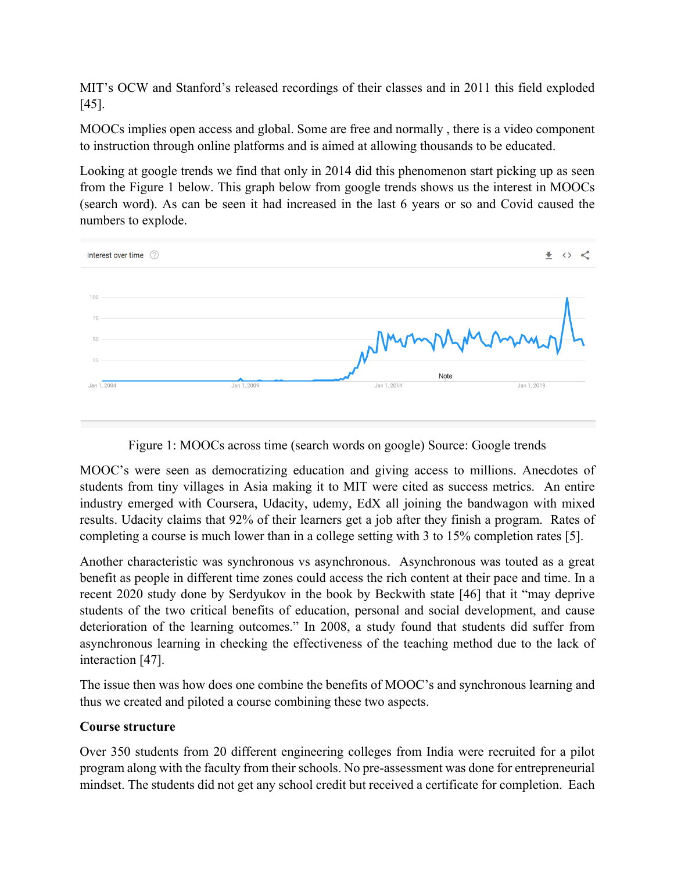MIT's OCW and Stanford's released recordings of their classes and in 2011 this field exploded [45].

MOOCs implies open access and global. Some are free and normally , there is a video component to instruction through online platforms and is aimed at allowing thousands to be educated.

Looking at google trends we find that only in 2014 did this phenomenon start picking up as seen from the Figure 1 below. This graph below from google trends shows us the interest in MOOCs (search word). As can be seen it had increased in the last 6 years or so and Covid caused the numbers to explode.



Figure 1: MOOCs across time (search words on google) Source: Google trends

MOOC's were seen as democratizing education and giving access to millions. Anecdotes of students from tiny villages in Asia making it to MIT were cited as success metrics. An entire industry emerged with Coursera, Udacity, udemy, EdX all joining the bandwagon with mixed results. Udacity claims that 92% of their learners get a job after they finish a program. Rates of completing a course is much lower than in a college setting with 3 to 15% completion rates [5].

Another characteristic was synchronous vs asynchronous. Asynchronous was touted as a great benefit as people in different time zones could access the rich content at their pace and time. In a recent 2020 study done by Serdyukov in the book by Beckwith state [46] that it "may deprive students of the two critical benefits of education, personal and social development, and cause deterioration of the learning outcomes." In 2008, a study found that students did suffer from asynchronous learning in checking the effectiveness of the teaching method due to the lack of interaction [47].

The issue then was how does one combine the benefits of MOOC's and synchronous learning and thus we created and piloted a course combining these two aspects.

## **Course structure**

Over 350 students from 20 different engineering colleges from India were recruited for a pilot program along with the faculty from their schools. No pre-assessment was done for entrepreneurial mindset. The students did not get any school credit but received a certificate for completion. Each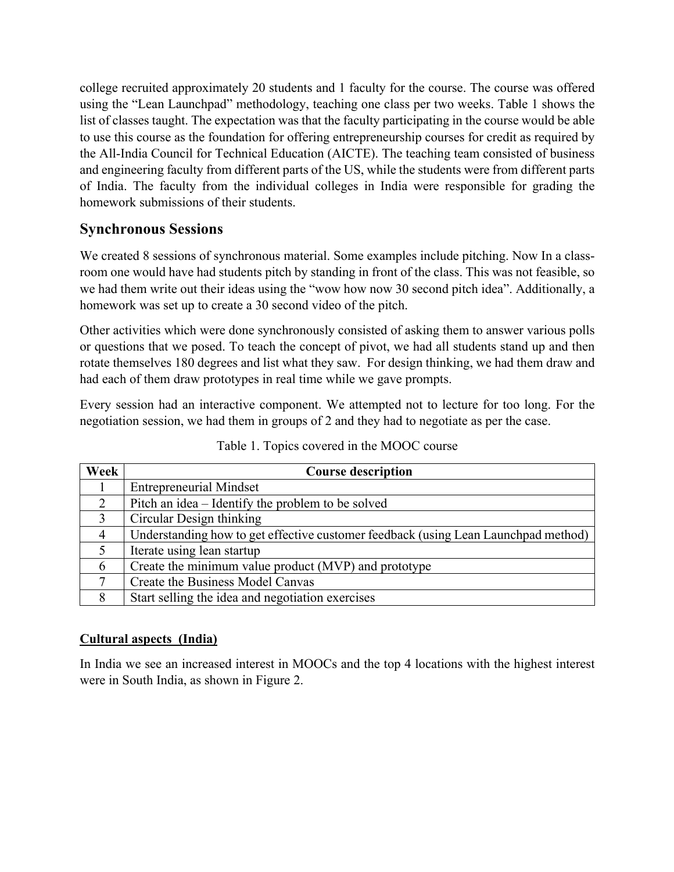college recruited approximately 20 students and 1 faculty for the course. The course was offered using the "Lean Launchpad" methodology, teaching one class per two weeks. Table 1 shows the list of classes taught. The expectation was that the faculty participating in the course would be able to use this course as the foundation for offering entrepreneurship courses for credit as required by the All-India Council for Technical Education (AICTE). The teaching team consisted of business and engineering faculty from different parts of the US, while the students were from different parts of India. The faculty from the individual colleges in India were responsible for grading the homework submissions of their students.

# **Synchronous Sessions**

We created 8 sessions of synchronous material. Some examples include pitching. Now In a classroom one would have had students pitch by standing in front of the class. This was not feasible, so we had them write out their ideas using the "wow how now 30 second pitch idea". Additionally, a homework was set up to create a 30 second video of the pitch.

Other activities which were done synchronously consisted of asking them to answer various polls or questions that we posed. To teach the concept of pivot, we had all students stand up and then rotate themselves 180 degrees and list what they saw. For design thinking, we had them draw and had each of them draw prototypes in real time while we gave prompts.

Every session had an interactive component. We attempted not to lecture for too long. For the negotiation session, we had them in groups of 2 and they had to negotiate as per the case.

| Week           | <b>Course description</b>                                                          |
|----------------|------------------------------------------------------------------------------------|
|                | <b>Entrepreneurial Mindset</b>                                                     |
| 2              | Pitch an idea – Identify the problem to be solved                                  |
| $\overline{3}$ | Circular Design thinking                                                           |
|                | Understanding how to get effective customer feedback (using Lean Launchpad method) |
| 5              | Iterate using lean startup                                                         |
| 6              | Create the minimum value product (MVP) and prototype                               |
| 7              | Create the Business Model Canvas                                                   |
| 8              | Start selling the idea and negotiation exercises                                   |

Table 1. Topics covered in the MOOC course

# **Cultural aspects (India)**

In India we see an increased interest in MOOCs and the top 4 locations with the highest interest were in South India, as shown in Figure 2.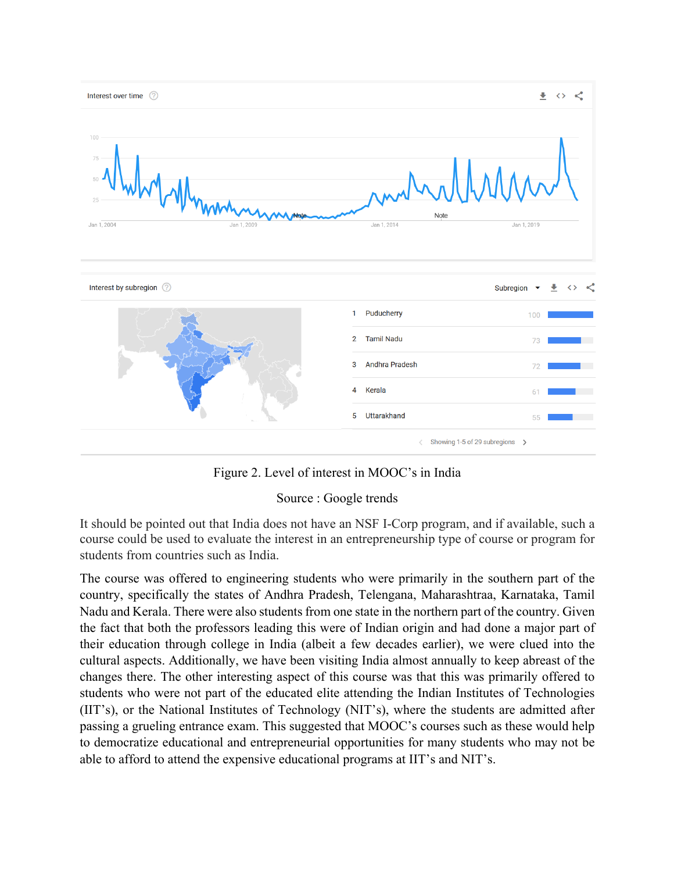

Figure 2. Level of interest in MOOC's in India

## Source : Google trends

It should be pointed out that India does not have an NSF I-Corp program, and if available, such a course could be used to evaluate the interest in an entrepreneurship type of course or program for students from countries such as India.

The course was offered to engineering students who were primarily in the southern part of the country, specifically the states of Andhra Pradesh, Telengana, Maharashtraa, Karnataka, Tamil Nadu and Kerala. There were also students from one state in the northern part of the country. Given the fact that both the professors leading this were of Indian origin and had done a major part of their education through college in India (albeit a few decades earlier), we were clued into the cultural aspects. Additionally, we have been visiting India almost annually to keep abreast of the changes there. The other interesting aspect of this course was that this was primarily offered to students who were not part of the educated elite attending the Indian Institutes of Technologies (IIT's), or the National Institutes of Technology (NIT's), where the students are admitted after passing a grueling entrance exam. This suggested that MOOC's courses such as these would help to democratize educational and entrepreneurial opportunities for many students who may not be able to afford to attend the expensive educational programs at IIT's and NIT's.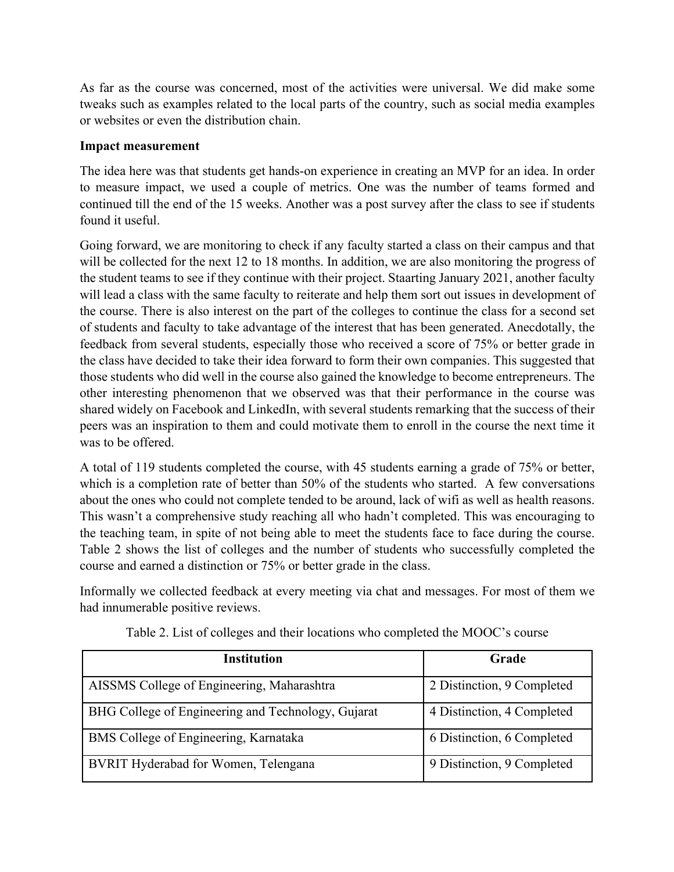As far as the course was concerned, most of the activities were universal. We did make some tweaks such as examples related to the local parts of the country, such as social media examples or websites or even the distribution chain.

#### **Impact measurement**

The idea here was that students get hands-on experience in creating an MVP for an idea. In order to measure impact, we used a couple of metrics. One was the number of teams formed and continued till the end of the 15 weeks. Another was a post survey after the class to see if students found it useful.

Going forward, we are monitoring to check if any faculty started a class on their campus and that will be collected for the next 12 to 18 months. In addition, we are also monitoring the progress of the student teams to see if they continue with their project. Staarting January 2021, another faculty will lead a class with the same faculty to reiterate and help them sort out issues in development of the course. There is also interest on the part of the colleges to continue the class for a second set of students and faculty to take advantage of the interest that has been generated. Anecdotally, the feedback from several students, especially those who received a score of 75% or better grade in the class have decided to take their idea forward to form their own companies. This suggested that those students who did well in the course also gained the knowledge to become entrepreneurs. The other interesting phenomenon that we observed was that their performance in the course was shared widely on Facebook and LinkedIn, with several students remarking that the success of their peers was an inspiration to them and could motivate them to enroll in the course the next time it was to be offered.

A total of 119 students completed the course, with 45 students earning a grade of 75% or better, which is a completion rate of better than 50% of the students who started. A few conversations about the ones who could not complete tended to be around, lack of wifi as well as health reasons. This wasn't a comprehensive study reaching all who hadn't completed. This was encouraging to the teaching team, in spite of not being able to meet the students face to face during the course. Table 2 shows the list of colleges and the number of students who successfully completed the course and earned a distinction or 75% or better grade in the class.

Informally we collected feedback at every meeting via chat and messages. For most of them we had innumerable positive reviews.

| Institution                                        | Grade                      |
|----------------------------------------------------|----------------------------|
| AISSMS College of Engineering, Maharashtra         | 2 Distinction, 9 Completed |
| BHG College of Engineering and Technology, Gujarat | 4 Distinction, 4 Completed |
| BMS College of Engineering, Karnataka              | 6 Distinction, 6 Completed |
| BVRIT Hyderabad for Women, Telengana               | 9 Distinction, 9 Completed |

Table 2. List of colleges and their locations who completed the MOOC's course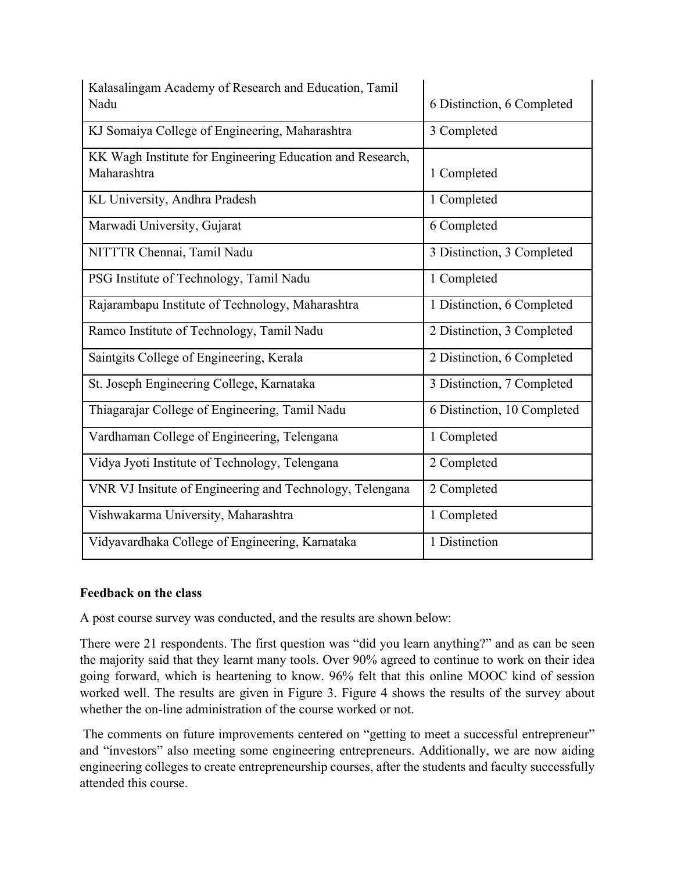| Kalasalingam Academy of Research and Education, Tamil<br>Nadu            | 6 Distinction, 6 Completed  |
|--------------------------------------------------------------------------|-----------------------------|
| KJ Somaiya College of Engineering, Maharashtra                           | 3 Completed                 |
| KK Wagh Institute for Engineering Education and Research,<br>Maharashtra | 1 Completed                 |
| KL University, Andhra Pradesh                                            | 1 Completed                 |
| Marwadi University, Gujarat                                              | 6 Completed                 |
| NITTTR Chennai, Tamil Nadu                                               | 3 Distinction, 3 Completed  |
| PSG Institute of Technology, Tamil Nadu                                  | 1 Completed                 |
| Rajarambapu Institute of Technology, Maharashtra                         | 1 Distinction, 6 Completed  |
| Ramco Institute of Technology, Tamil Nadu                                | 2 Distinction, 3 Completed  |
| Saintgits College of Engineering, Kerala                                 | 2 Distinction, 6 Completed  |
| St. Joseph Engineering College, Karnataka                                | 3 Distinction, 7 Completed  |
| Thiagarajar College of Engineering, Tamil Nadu                           | 6 Distinction, 10 Completed |
| Vardhaman College of Engineering, Telengana                              | 1 Completed                 |
| Vidya Jyoti Institute of Technology, Telengana                           | 2 Completed                 |
| VNR VJ Insitute of Engineering and Technology, Telengana                 | 2 Completed                 |
| Vishwakarma University, Maharashtra                                      | 1 Completed                 |
| Vidyavardhaka College of Engineering, Karnataka                          | 1 Distinction               |

## **Feedback on the class**

A post course survey was conducted, and the results are shown below:

There were 21 respondents. The first question was "did you learn anything?" and as can be seen the majority said that they learnt many tools. Over 90% agreed to continue to work on their idea going forward, which is heartening to know. 96% felt that this online MOOC kind of session worked well. The results are given in Figure 3. Figure 4 shows the results of the survey about whether the on-line administration of the course worked or not.

The comments on future improvements centered on "getting to meet a successful entrepreneur" and "investors" also meeting some engineering entrepreneurs. Additionally, we are now aiding engineering colleges to create entrepreneurship courses, after the students and faculty successfully attended this course.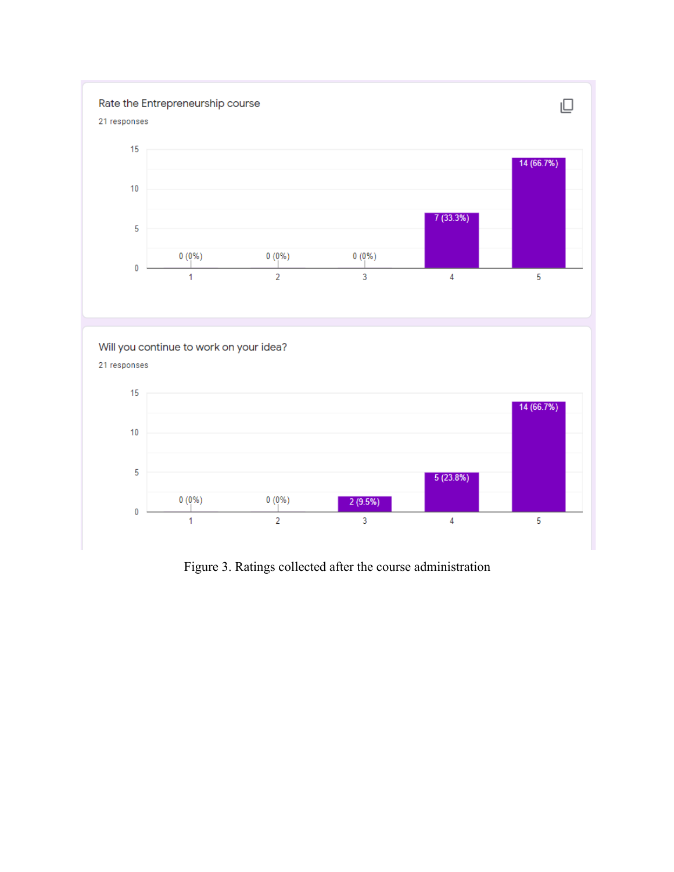

Figure 3. Ratings collected after the course administration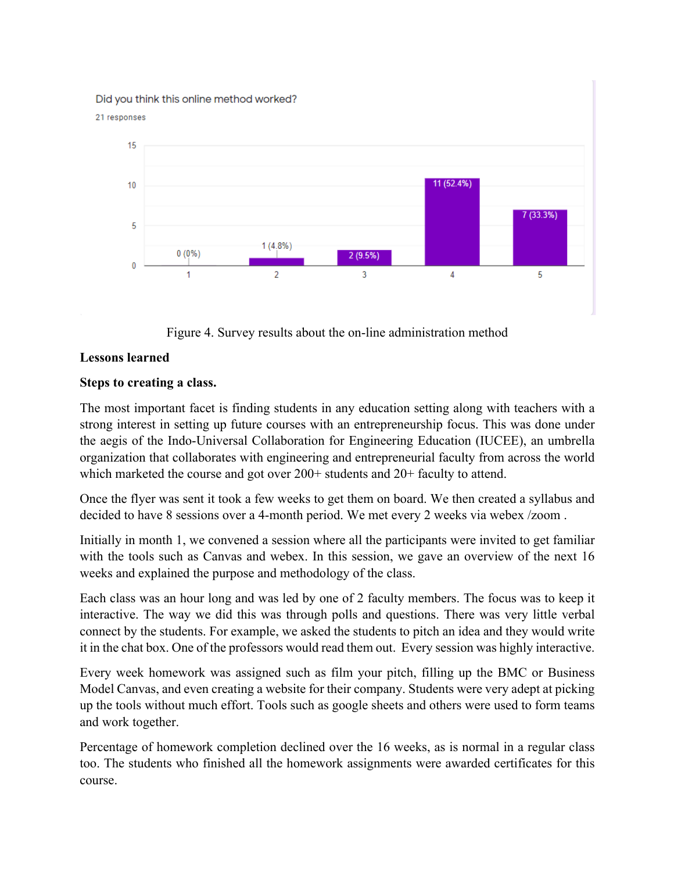#### Did you think this online method worked?





Figure 4. Survey results about the on-line administration method

#### **Lessons learned**

#### **Steps to creating a class.**

The most important facet is finding students in any education setting along with teachers with a strong interest in setting up future courses with an entrepreneurship focus. This was done under the aegis of the Indo-Universal Collaboration for Engineering Education (IUCEE), an umbrella organization that collaborates with engineering and entrepreneurial faculty from across the world which marketed the course and got over  $200+$  students and  $20+$  faculty to attend.

Once the flyer was sent it took a few weeks to get them on board. We then created a syllabus and decided to have 8 sessions over a 4-month period. We met every 2 weeks via webex /zoom .

Initially in month 1, we convened a session where all the participants were invited to get familiar with the tools such as Canvas and webex. In this session, we gave an overview of the next 16 weeks and explained the purpose and methodology of the class.

Each class was an hour long and was led by one of 2 faculty members. The focus was to keep it interactive. The way we did this was through polls and questions. There was very little verbal connect by the students. For example, we asked the students to pitch an idea and they would write it in the chat box. One of the professors would read them out. Every session was highly interactive.

Every week homework was assigned such as film your pitch, filling up the BMC or Business Model Canvas, and even creating a website for their company. Students were very adept at picking up the tools without much effort. Tools such as google sheets and others were used to form teams and work together.

Percentage of homework completion declined over the 16 weeks, as is normal in a regular class too. The students who finished all the homework assignments were awarded certificates for this course.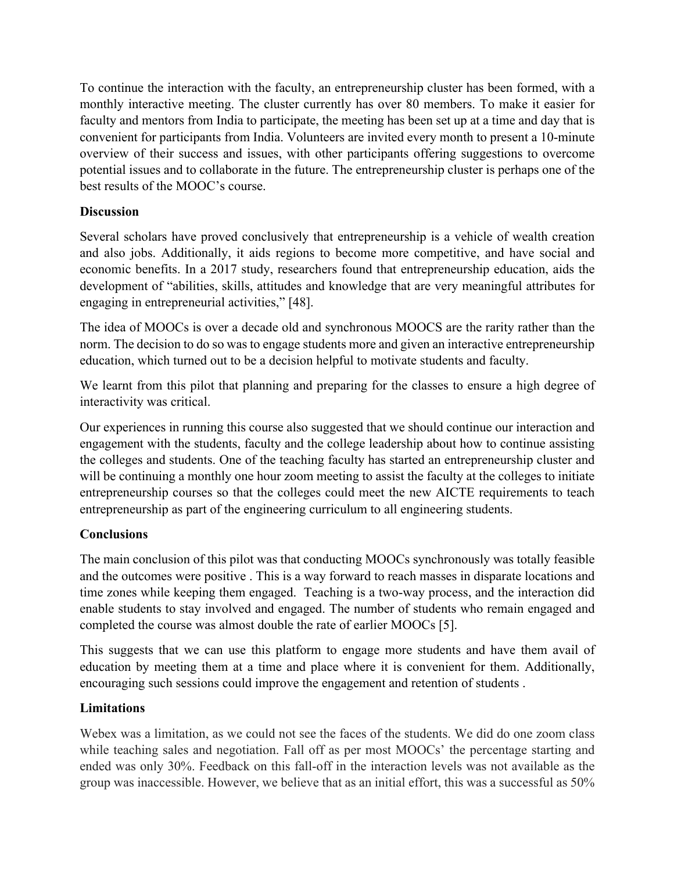To continue the interaction with the faculty, an entrepreneurship cluster has been formed, with a monthly interactive meeting. The cluster currently has over 80 members. To make it easier for faculty and mentors from India to participate, the meeting has been set up at a time and day that is convenient for participants from India. Volunteers are invited every month to present a 10-minute overview of their success and issues, with other participants offering suggestions to overcome potential issues and to collaborate in the future. The entrepreneurship cluster is perhaps one of the best results of the MOOC's course.

## **Discussion**

Several scholars have proved conclusively that entrepreneurship is a vehicle of wealth creation and also jobs. Additionally, it aids regions to become more competitive, and have social and economic benefits. In a 2017 study, researchers found that entrepreneurship education, aids the development of "abilities, skills, attitudes and knowledge that are very meaningful attributes for engaging in entrepreneurial activities," [48].

The idea of MOOCs is over a decade old and synchronous MOOCS are the rarity rather than the norm. The decision to do so was to engage students more and given an interactive entrepreneurship education, which turned out to be a decision helpful to motivate students and faculty.

We learnt from this pilot that planning and preparing for the classes to ensure a high degree of interactivity was critical.

Our experiences in running this course also suggested that we should continue our interaction and engagement with the students, faculty and the college leadership about how to continue assisting the colleges and students. One of the teaching faculty has started an entrepreneurship cluster and will be continuing a monthly one hour zoom meeting to assist the faculty at the colleges to initiate entrepreneurship courses so that the colleges could meet the new AICTE requirements to teach entrepreneurship as part of the engineering curriculum to all engineering students.

# **Conclusions**

The main conclusion of this pilot was that conducting MOOCs synchronously was totally feasible and the outcomes were positive . This is a way forward to reach masses in disparate locations and time zones while keeping them engaged. Teaching is a two-way process, and the interaction did enable students to stay involved and engaged. The number of students who remain engaged and completed the course was almost double the rate of earlier MOOCs [5].

This suggests that we can use this platform to engage more students and have them avail of education by meeting them at a time and place where it is convenient for them. Additionally, encouraging such sessions could improve the engagement and retention of students .

## **Limitations**

Webex was a limitation, as we could not see the faces of the students. We did do one zoom class while teaching sales and negotiation. Fall off as per most MOOCs' the percentage starting and ended was only 30%. Feedback on this fall-off in the interaction levels was not available as the group was inaccessible. However, we believe that as an initial effort, this was a successful as 50%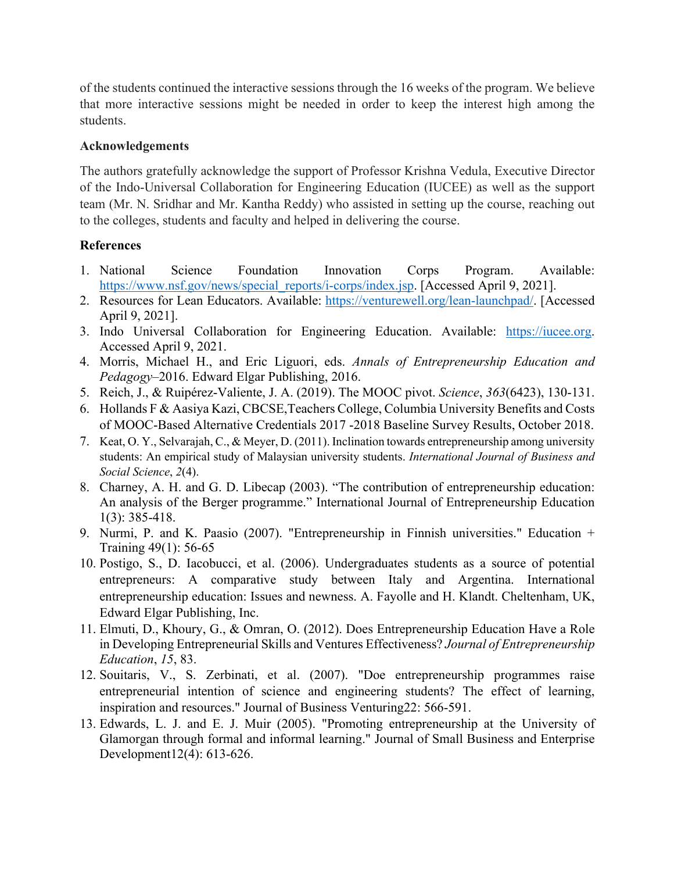of the students continued the interactive sessions through the 16 weeks of the program. We believe that more interactive sessions might be needed in order to keep the interest high among the students.

#### **Acknowledgements**

The authors gratefully acknowledge the support of Professor Krishna Vedula, Executive Director of the Indo-Universal Collaboration for Engineering Education (IUCEE) as well as the support team (Mr. N. Sridhar and Mr. Kantha Reddy) who assisted in setting up the course, reaching out to the colleges, students and faculty and helped in delivering the course.

## **References**

- 1. National Science Foundation Innovation Corps Program. Available: https://www.nsf.gov/news/special\_reports/i-corps/index.jsp. [Accessed April 9, 2021].
- 2. Resources for Lean Educators. Available: https://venturewell.org/lean-launchpad/. [Accessed April 9, 2021].
- 3. Indo Universal Collaboration for Engineering Education. Available: https://iucee.org. Accessed April 9, 2021.
- 4. Morris, Michael H., and Eric Liguori, eds. *Annals of Entrepreneurship Education and Pedagogy*–2016. Edward Elgar Publishing, 2016.
- 5. Reich, J., & Ruipérez-Valiente, J. A. (2019). The MOOC pivot. *Science*, *363*(6423), 130-131.
- 6. Hollands F & Aasiya Kazi, CBCSE,Teachers College, Columbia University Benefits and Costs of MOOC-Based Alternative Credentials 2017 -2018 Baseline Survey Results, October 2018.
- 7. Keat, O. Y., Selvarajah, C., & Meyer, D. (2011). Inclination towards entrepreneurship among university students: An empirical study of Malaysian university students. *International Journal of Business and Social Science*, *2*(4).
- 8. Charney, A. H. and G. D. Libecap (2003). "The contribution of entrepreneurship education: An analysis of the Berger programme." International Journal of Entrepreneurship Education 1(3): 385-418.
- 9. Nurmi, P. and K. Paasio (2007). "Entrepreneurship in Finnish universities." Education + Training 49(1): 56-65
- 10. Postigo, S., D. Iacobucci, et al. (2006). Undergraduates students as a source of potential entrepreneurs: A comparative study between Italy and Argentina. International entrepreneurship education: Issues and newness. A. Fayolle and H. Klandt. Cheltenham, UK, Edward Elgar Publishing, Inc.
- 11. Elmuti, D., Khoury, G., & Omran, O. (2012). Does Entrepreneurship Education Have a Role in Developing Entrepreneurial Skills and Ventures Effectiveness? *Journal of Entrepreneurship Education*, *15*, 83.
- 12. Souitaris, V., S. Zerbinati, et al. (2007). "Doe entrepreneurship programmes raise entrepreneurial intention of science and engineering students? The effect of learning, inspiration and resources." Journal of Business Venturing22: 566-591.
- 13. Edwards, L. J. and E. J. Muir (2005). "Promoting entrepreneurship at the University of Glamorgan through formal and informal learning." Journal of Small Business and Enterprise Development12(4): 613-626.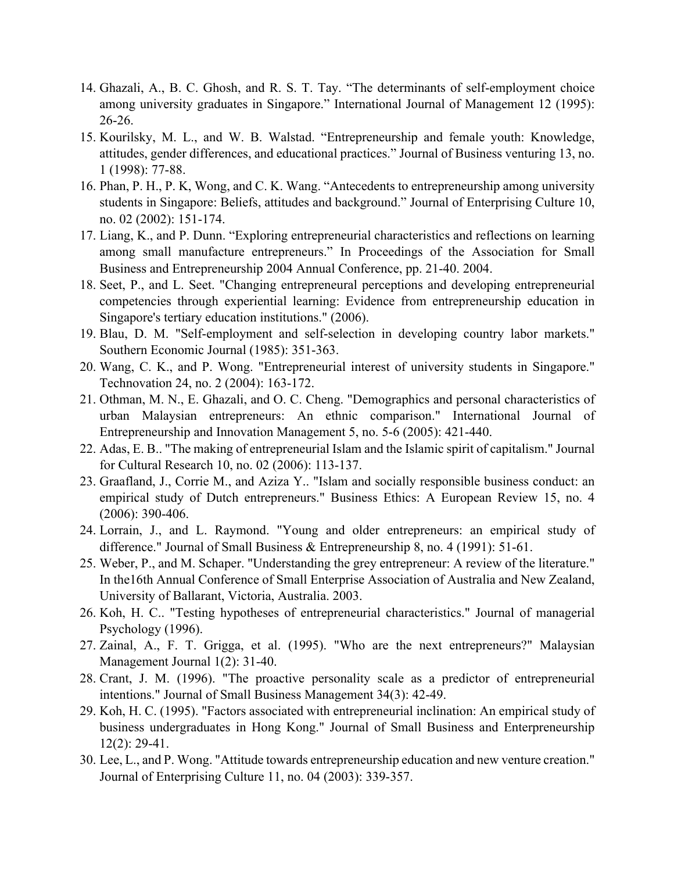- 14. Ghazali, A., B. C. Ghosh, and R. S. T. Tay. "The determinants of self-employment choice among university graduates in Singapore." International Journal of Management 12 (1995): 26-26.
- 15. Kourilsky, M. L., and W. B. Walstad. "Entrepreneurship and female youth: Knowledge, attitudes, gender differences, and educational practices." Journal of Business venturing 13, no. 1 (1998): 77-88.
- 16. Phan, P. H., P. K, Wong, and C. K. Wang. "Antecedents to entrepreneurship among university students in Singapore: Beliefs, attitudes and background." Journal of Enterprising Culture 10, no. 02 (2002): 151-174.
- 17. Liang, K., and P. Dunn. "Exploring entrepreneurial characteristics and reflections on learning among small manufacture entrepreneurs." In Proceedings of the Association for Small Business and Entrepreneurship 2004 Annual Conference, pp. 21-40. 2004.
- 18. Seet, P., and L. Seet. "Changing entrepreneural perceptions and developing entrepreneurial competencies through experiential learning: Evidence from entrepreneurship education in Singapore's tertiary education institutions." (2006).
- 19. Blau, D. M. "Self-employment and self-selection in developing country labor markets." Southern Economic Journal (1985): 351-363.
- 20. Wang, C. K., and P. Wong. "Entrepreneurial interest of university students in Singapore." Technovation 24, no. 2 (2004): 163-172.
- 21. Othman, M. N., E. Ghazali, and O. C. Cheng. "Demographics and personal characteristics of urban Malaysian entrepreneurs: An ethnic comparison." International Journal of Entrepreneurship and Innovation Management 5, no. 5-6 (2005): 421-440.
- 22. Adas, E. B.. "The making of entrepreneurial Islam and the Islamic spirit of capitalism." Journal for Cultural Research 10, no. 02 (2006): 113-137.
- 23. Graafland, J., Corrie M., and Aziza Y.. "Islam and socially responsible business conduct: an empirical study of Dutch entrepreneurs." Business Ethics: A European Review 15, no. 4 (2006): 390-406.
- 24. Lorrain, J., and L. Raymond. "Young and older entrepreneurs: an empirical study of difference." Journal of Small Business & Entrepreneurship 8, no. 4 (1991): 51-61.
- 25. Weber, P., and M. Schaper. "Understanding the grey entrepreneur: A review of the literature." In the16th Annual Conference of Small Enterprise Association of Australia and New Zealand, University of Ballarant, Victoria, Australia. 2003.
- 26. Koh, H. C.. "Testing hypotheses of entrepreneurial characteristics." Journal of managerial Psychology (1996).
- 27. Zainal, A., F. T. Grigga, et al. (1995). "Who are the next entrepreneurs?" Malaysian Management Journal 1(2): 31-40.
- 28. Crant, J. M. (1996). "The proactive personality scale as a predictor of entrepreneurial intentions." Journal of Small Business Management 34(3): 42-49.
- 29. Koh, H. C. (1995). "Factors associated with entrepreneurial inclination: An empirical study of business undergraduates in Hong Kong." Journal of Small Business and Enterpreneurship 12(2): 29-41.
- 30. Lee, L., and P. Wong. "Attitude towards entrepreneurship education and new venture creation." Journal of Enterprising Culture 11, no. 04 (2003): 339-357.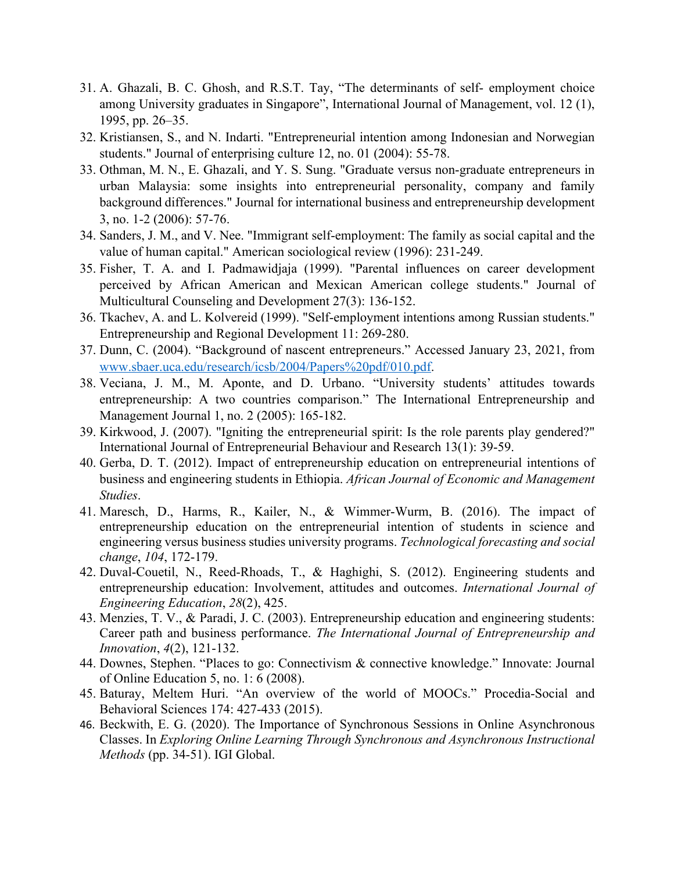- 31. A. Ghazali, B. C. Ghosh, and R.S.T. Tay, "The determinants of self- employment choice among University graduates in Singapore", International Journal of Management, vol. 12 (1), 1995, pp. 26–35.
- 32. Kristiansen, S., and N. Indarti. "Entrepreneurial intention among Indonesian and Norwegian students." Journal of enterprising culture 12, no. 01 (2004): 55-78.
- 33. Othman, M. N., E. Ghazali, and Y. S. Sung. "Graduate versus non-graduate entrepreneurs in urban Malaysia: some insights into entrepreneurial personality, company and family background differences." Journal for international business and entrepreneurship development 3, no. 1-2 (2006): 57-76.
- 34. Sanders, J. M., and V. Nee. "Immigrant self-employment: The family as social capital and the value of human capital." American sociological review (1996): 231-249.
- 35. Fisher, T. A. and I. Padmawidjaja (1999). "Parental influences on career development perceived by African American and Mexican American college students." Journal of Multicultural Counseling and Development 27(3): 136-152.
- 36. Tkachev, A. and L. Kolvereid (1999). "Self-employment intentions among Russian students." Entrepreneurship and Regional Development 11: 269-280.
- 37. Dunn, C. (2004). "Background of nascent entrepreneurs." Accessed January 23, 2021, from www.sbaer.uca.edu/research/icsb/2004/Papers%20pdf/010.pdf.
- 38. Veciana, J. M., M. Aponte, and D. Urbano. "University students' attitudes towards entrepreneurship: A two countries comparison." The International Entrepreneurship and Management Journal 1, no. 2 (2005): 165-182.
- 39. Kirkwood, J. (2007). "Igniting the entrepreneurial spirit: Is the role parents play gendered?" International Journal of Entrepreneurial Behaviour and Research 13(1): 39-59.
- 40. Gerba, D. T. (2012). Impact of entrepreneurship education on entrepreneurial intentions of business and engineering students in Ethiopia. *African Journal of Economic and Management Studies*.
- 41. Maresch, D., Harms, R., Kailer, N., & Wimmer-Wurm, B. (2016). The impact of entrepreneurship education on the entrepreneurial intention of students in science and engineering versus business studies university programs. *Technological forecasting and social change*, *104*, 172-179.
- 42. Duval-Couetil, N., Reed-Rhoads, T., & Haghighi, S. (2012). Engineering students and entrepreneurship education: Involvement, attitudes and outcomes. *International Journal of Engineering Education*, *28*(2), 425.
- 43. Menzies, T. V., & Paradi, J. C. (2003). Entrepreneurship education and engineering students: Career path and business performance. *The International Journal of Entrepreneurship and Innovation*, *4*(2), 121-132.
- 44. Downes, Stephen. "Places to go: Connectivism & connective knowledge." Innovate: Journal of Online Education 5, no. 1: 6 (2008).
- 45. Baturay, Meltem Huri. "An overview of the world of MOOCs." Procedia-Social and Behavioral Sciences 174: 427-433 (2015).
- 46. Beckwith, E. G. (2020). The Importance of Synchronous Sessions in Online Asynchronous Classes. In *Exploring Online Learning Through Synchronous and Asynchronous Instructional Methods* (pp. 34-51). IGI Global.